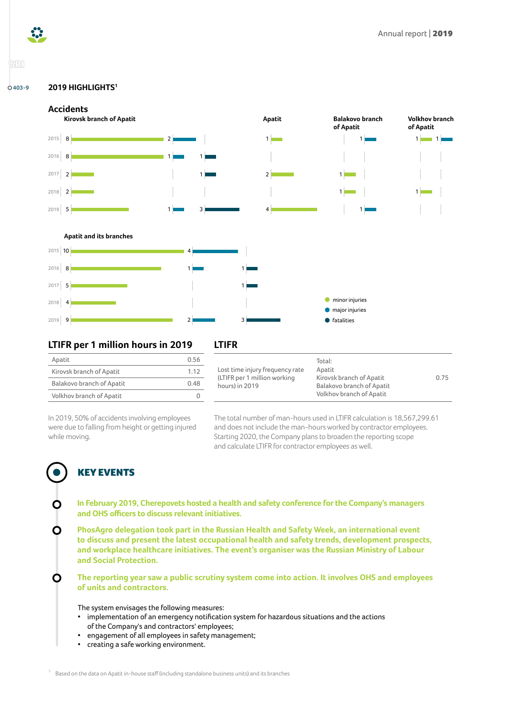



## GRI

#### **2019 HIGHLIGHTS[1](#page-0-0) 403-9**





### **LTIFR per 1 million hours in 2019**

| Apatit                    | 0.56 |
|---------------------------|------|
| Kirovsk branch of Apatit  | 1.12 |
| Balakovo branch of Apatit | 0.48 |
| Volkhov branch of Apatit  |      |

### **LTIFR**

|                                 | Total:                    |      |
|---------------------------------|---------------------------|------|
| Lost time injury frequency rate | Apatit                    |      |
| (LTIFR per 1 million working)   | Kirovsk branch of Apatit  | 0.75 |
| hours) in 2019                  | Balakovo branch of Apatit |      |
|                                 | Volkhov branch of Apatit  |      |

In 2019, 50% of accidents involving employees were due to falling from height or getting injured while moving.

The total number of man-hours used in LTIFR calculation is 18,567,299.61 and does not include the man-hours worked by contractor employees. Starting 2020, the Company plans to broaden the reporting scope and calculate LTIFR for contractor employees as well.

# KEY EVENTS

O

- **In February 2019, Cherepovets hosted a health and safety conference for the Company's managers and OHS officers to discuss relevant initiatives.**
- **PhosAgro delegation took part in the Russian Health and Safety Week, an international event**  O **to discuss and present the latest occupational health and safety trends, development prospects, and workplace healthcare initiatives. The event's organiser was the Russian Ministry of Labour and Social Protection.**

**The reporting year saw a public scrutiny system come into action. It involves OHS and employees of units and contractors.**

The system envisages the following measures:

- implementation of an emergency notification system for hazardous situations and the actions of the Company's and contractors' employees;
- engagement of all employees in safety management;
- creating a safe working environment.

<span id="page-0-0"></span>Based on the data on Apatit in-house staff (including standalone business units) and its branches